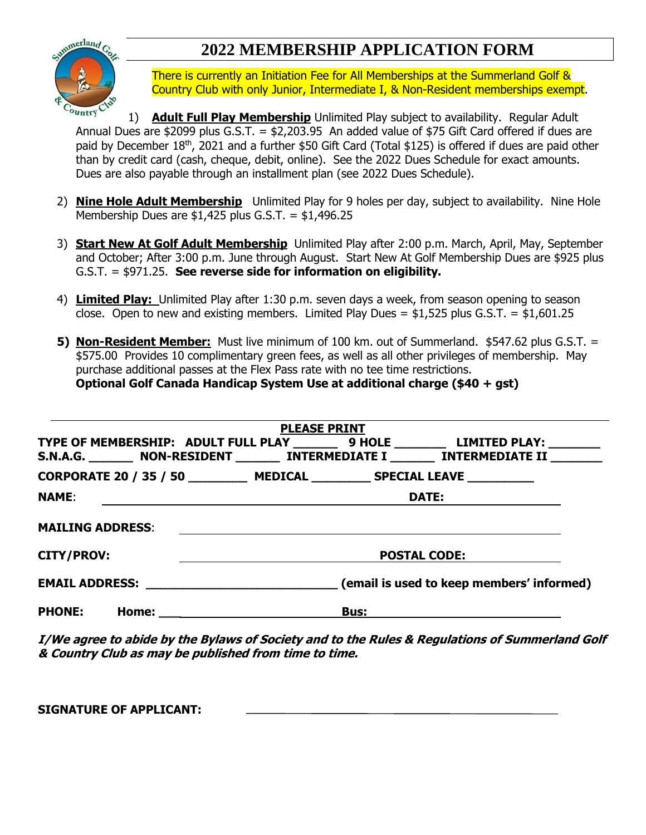## **2022 MEMBERSHIP APPLICATION FORM**



There is currently an Initiation Fee for All Memberships at the Summerland Golf & Country Club with only Junior, Intermediate I, & Non-Resident memberships exempt.

1) **Adult Full Play Membership** Unlimited Play subject to availability. Regular Adult Annual Dues are \$2099 plus G.S.T.  $=$  \$2,203.95 An added value of \$75 Gift Card offered if dues are paid by December 18<sup>th</sup>, 2021 and a further \$50 Gift Card (Total \$125) is offered if dues are paid other than by credit card (cash, cheque, debit, online). See the 2022 Dues Schedule for exact amounts. Dues are also payable through an installment plan (see 2022 Dues Schedule).

- 2) **Nine Hole Adult Membership** Unlimited Play for 9 holes per day, subject to availability. Nine Hole Membership Dues are  $$1,425$  plus G.S.T. =  $$1,496.25$
- 3) **Start New At Golf Adult Membership** Unlimited Play after 2:00 p.m. March, April, May, September and October; After 3:00 p.m. June through August. Start New At Golf Membership Dues are \$925 plus G.S.T. = \$971.25. **See reverse side for information on eligibility.**
- 4) **Limited Play:** Unlimited Play after 1:30 p.m. seven days a week, from season opening to season close. Open to new and existing members. Limited Play Dues =  $$1,525$  plus G.S.T. =  $$1,601.25$
- **5) Non-Resident Member:** Must live minimum of 100 km. out of Summerland. \$547.62 plus G.S.T. = \$575.00 Provides 10 complimentary green fees, as well as all other privileges of membership. May purchase additional passes at the Flex Pass rate with no tee time restrictions. **Optional Golf Canada Handicap System Use at additional charge (\$40 + gst)**

|                                                                         | <b>PLEASE PRINT</b>                                                                                                                                                               |
|-------------------------------------------------------------------------|-----------------------------------------------------------------------------------------------------------------------------------------------------------------------------------|
|                                                                         | TYPE OF MEMBERSHIP: ADULT FULL PLAY _________ 9 HOLE _________ LIMITED PLAY: ________<br>S.N.A.G. _________ NON-RESIDENT ________ INTERMEDIATE I ________ INTERMEDIATE II _______ |
|                                                                         | CORPORATE 20 / 35 / 50 MEDICAL SPECIAL LEAVE                                                                                                                                      |
| <b>NAME:</b><br><u> 1989 - Johann Stein, fransk politiker (d. 1989)</u> | <b>DATE:</b>                                                                                                                                                                      |
| <b>MAILING ADDRESS:</b>                                                 |                                                                                                                                                                                   |
| <b>CITY/PROV:</b>                                                       | <b>POSTAL CODE:</b>                                                                                                                                                               |
|                                                                         | EMAIL ADDRESS: ________________________________(email is used to keep members' informed)                                                                                          |
| <b>PHONE:</b>                                                           | <b>Bus:</b>                                                                                                                                                                       |

**I/We agree to abide by the Bylaws of Society and to the Rules & Regulations of Summerland Golf & Country Club as may be published from time to time.**

**SIGNATURE OF APPLICANT:**